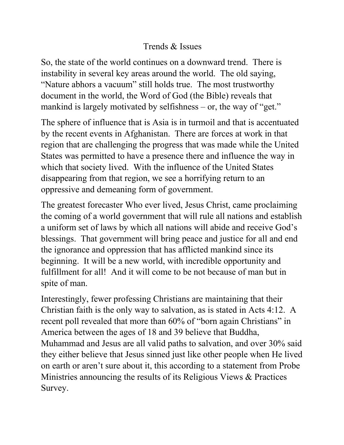## Trends & Issues

So, the state of the world continues on a downward trend. There is instability in several key areas around the world. The old saying, "Nature abhors a vacuum" still holds true. The most trustworthy document in the world, the Word of God (the Bible) reveals that mankind is largely motivated by selfishness – or, the way of "get."

The sphere of influence that is Asia is in turmoil and that is accentuated by the recent events in Afghanistan. There are forces at work in that region that are challenging the progress that was made while the United States was permitted to have a presence there and influence the way in which that society lived. With the influence of the United States disappearing from that region, we see a horrifying return to an oppressive and demeaning form of government.

The greatest forecaster Who ever lived, Jesus Christ, came proclaiming the coming of a world government that will rule all nations and establish a uniform set of laws by which all nations will abide and receive God's blessings. That government will bring peace and justice for all and end the ignorance and oppression that has afflicted mankind since its beginning. It will be a new world, with incredible opportunity and fulfillment for all! And it will come to be not because of man but in spite of man.

Interestingly, fewer professing Christians are maintaining that their Christian faith is the only way to salvation, as is stated in Acts 4:12. A recent poll revealed that more than 60% of "born again Christians" in America between the ages of 18 and 39 believe that Buddha, Muhammad and Jesus are all valid paths to salvation, and over 30% said they either believe that Jesus sinned just like other people when He lived on earth or aren't sure about it, this according to a statement from Probe Ministries announcing the results of its Religious Views & Practices Survey.